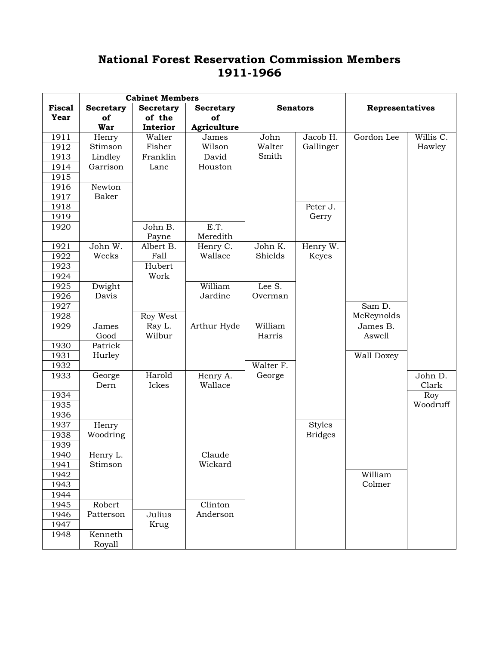## **National Forest Reservation Commission Members 1911-1966**

|               | <b>Cabinet Members</b> |                  |             |                 |                |                 |           |  |
|---------------|------------------------|------------------|-------------|-----------------|----------------|-----------------|-----------|--|
| <b>Fiscal</b> | <b>Secretary</b>       | <b>Secretary</b> | Secretary   | <b>Senators</b> |                | Representatives |           |  |
| Year          | of                     | of the           | of          |                 |                |                 |           |  |
|               | <b>War</b>             | Interior         | Agriculture |                 |                |                 |           |  |
| 1911          | Henry                  | Walter           | James       | John            | Jacob H.       | Gordon Lee      | Willis C. |  |
| 1912          | Stimson                | Fisher           | Wilson      | Walter          | Gallinger      |                 | Hawley    |  |
| 1913          | Lindley                | Franklin         | David       | Smith           |                |                 |           |  |
| 1914          | Garrison               | Lane             | Houston     |                 |                |                 |           |  |
| 1915          |                        |                  |             |                 |                |                 |           |  |
| 1916          | Newton                 |                  |             |                 |                |                 |           |  |
| 1917          | <b>Baker</b>           |                  |             |                 |                |                 |           |  |
| 1918          |                        |                  |             |                 | Peter J.       |                 |           |  |
| 1919          |                        |                  |             |                 | Gerry          |                 |           |  |
| 1920          |                        | John B.          | E.T.        |                 |                |                 |           |  |
|               |                        | Payne            | Meredith    |                 |                |                 |           |  |
| 1921          | John W.                | Albert B.        | Henry C.    | John K.         | Henry W.       |                 |           |  |
| 1922          | Weeks                  | Fall             | Wallace     | Shields         | Keyes          |                 |           |  |
| 1923          |                        | Hubert           |             |                 |                |                 |           |  |
| 1924          |                        | Work             |             |                 |                |                 |           |  |
| 1925          | Dwight                 |                  | William     | Lee S.          |                |                 |           |  |
| 1926          | Davis                  |                  | Jardine     | Overman         |                |                 |           |  |
| 1927          |                        |                  |             |                 |                | Sam D.          |           |  |
| 1928          |                        | Roy West         |             |                 |                | McReynolds      |           |  |
| 1929          | James                  | Ray L.           | Arthur Hyde | William         |                | James B.        |           |  |
|               | Good                   | Wilbur           |             | Harris          |                | Aswell          |           |  |
| 1930          | Patrick                |                  |             |                 |                |                 |           |  |
| 1931          | Hurley                 |                  |             |                 |                | Wall Doxey      |           |  |
| 1932          |                        |                  |             | Walter F.       |                |                 |           |  |
| 1933          | George                 | Harold           | Henry A.    | George          |                |                 | John D.   |  |
|               | Dern                   | Ickes            | Wallace     |                 |                |                 | Clark     |  |
| 1934          |                        |                  |             |                 |                |                 | Roy       |  |
| 1935          |                        |                  |             |                 |                |                 | Woodruff  |  |
| 1936          |                        |                  |             |                 |                |                 |           |  |
| 1937          | Henry                  |                  |             |                 | <b>Styles</b>  |                 |           |  |
| 1938          | Woodring               |                  |             |                 | <b>Bridges</b> |                 |           |  |
| 1939          |                        |                  |             |                 |                |                 |           |  |
| 1940          | Henry L.               |                  | Claude      |                 |                |                 |           |  |
| 1941          | Stimson                |                  | Wickard     |                 |                |                 |           |  |
| 1942          |                        |                  |             |                 |                | William         |           |  |
| 1943          |                        |                  |             |                 |                | Colmer          |           |  |
| 1944          |                        |                  |             |                 |                |                 |           |  |
| 1945          | Robert                 |                  | Clinton     |                 |                |                 |           |  |
| 1946          | Patterson              | Julius           | Anderson    |                 |                |                 |           |  |
| 1947          |                        | Krug             |             |                 |                |                 |           |  |
| 1948          | Kenneth                |                  |             |                 |                |                 |           |  |
|               | Royall                 |                  |             |                 |                |                 |           |  |